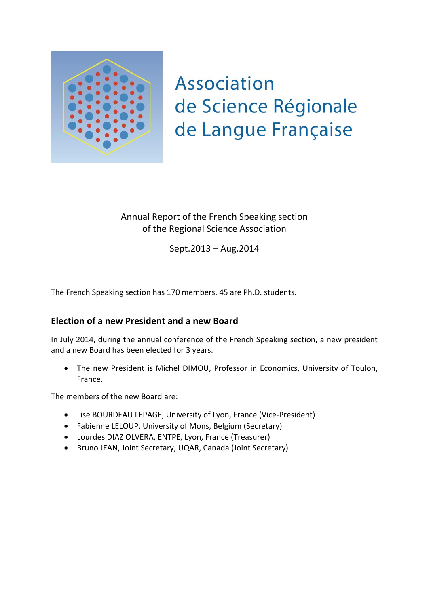

## **Association** de Science Régionale de Langue Française

## Annual Report of the French Speaking section of the Regional Science Association

Sept.2013 – Aug.2014

The French Speaking section has 170 members. 45 are Ph.D. students.

## **Election of a new President and a new Board**

In July 2014, during the annual conference of the French Speaking section, a new president and a new Board has been elected for 3 years.

 The new President is Michel DIMOU, Professor in Economics, University of Toulon, France.

The members of the new Board are:

- Lise BOURDEAU LEPAGE, University of Lyon, France (Vice-President)
- Fabienne LELOUP, University of Mons, Belgium (Secretary)
- Lourdes DIAZ OLVERA, ENTPE, Lyon, France (Treasurer)
- Bruno JEAN, Joint Secretary, UQAR, Canada (Joint Secretary)